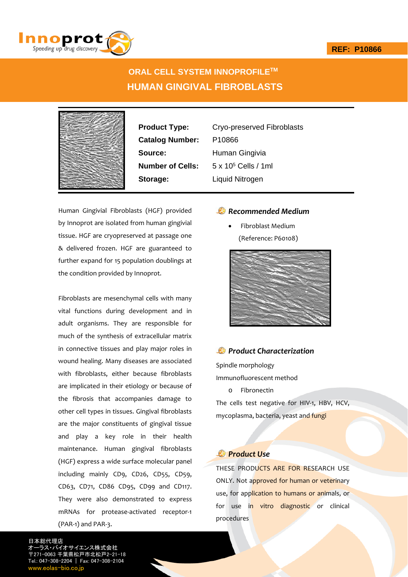

# **ORAL CELL SYSTEM INNOPROFILETM HUMAN GINGIVAL FIBROBLASTS**



**Catalog Number:** P10866 **Source:** Human Gingivia **Storage:** Liquid Nitrogen

**Product Type:** Cryo-preserved Fibroblasts **Number of Cells:** 5 x 10<sup>5</sup> Cells / 1ml

Human Gingivial Fibroblasts (HGF) provided by Innoprot are isolated from human gingivial tissue. HGF are cryopreserved at passage one & delivered frozen. HGF are guaranteed to further expand for 15 population doublings at the condition provided by Innoprot.

Fibroblasts are mesenchymal cells with many vital functions during development and in adult organisms. They are responsible for much of the synthesis of extracellular matrix in connective tissues and play major roles in wound healing. Many diseases are associated with fibroblasts, either because fibroblasts are implicated in their etiology or because of the fibrosis that accompanies damage to other cell types in tissues. Gingival fibroblasts are the major constituents of gingival tissue and play a key role in their health maintenance. Human gingival fibroblasts (HGF) express a wide surface molecular panel including mainly CD9, CD26, CD55, CD59, CD63, CD71, CD86 CD95, CD99 and CD117. They were also demonstrated to express mRNAs for protease‐activated receptor‐1 (PAR‐1) and PAR‐3.

### *Recommended Medium*

 Fibroblast Medium (Reference: P60108)



### *Product Characterization*

Spindle morphology

Immunofluorescent method

o Fibronectin

The cells test negative for HIV-1, HBV, HCV, mycoplasma, bacteria, yeast and fungi

## *Product Use*

THESE PRODUCTS ARE FOR RESEARCH USE ONLY. Not approved for human or veterinary use, for application to humans or animals, or for use in vitro diagnostic or clinical procedures

日本総代理店 オーラス・バイオサイエンス株式会社 1-0063 千葉県松戸市北松戸2-21-18 Tel.: 047-308-2204 | Fax: 047-308-2104 w.eolas-bio.co.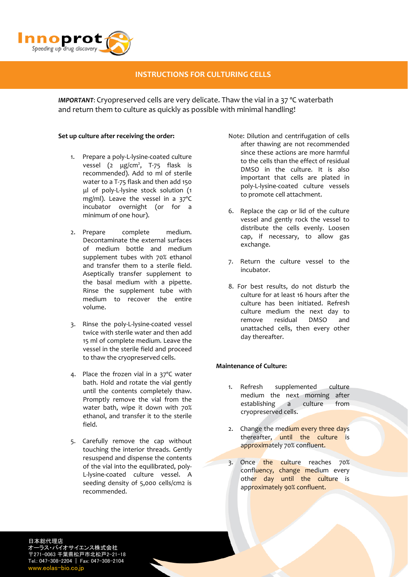

# **INSTRUCTIONS FOR CULTURING CELLS**

*IMPORTANT*: Cryopreserved cells are very delicate. Thaw the vial in a 37 ºC waterbath and return them to culture as quickly as possible with minimal handling!

#### **Set up culture after receiving the order:**

- 1. Prepare a poly‐L‐lysine‐coated culture vessel (2 μg/cm<sup>2</sup>, T-75 flask is recommended). Add 10 ml of sterile water to a T‐75 flask and then add 150 μl of poly‐L‐lysine stock solution (1 mg/ml). Leave the vessel in a 37ºC incubator overnight (or for a minimum of one hour).
- 2. Prepare complete medium. Decontaminate the external surfaces of medium bottle and medium supplement tubes with 70% ethanol and transfer them to a sterile field. Aseptically transfer supplement to the basal medium with a pipette. Rinse the supplement tube with medium to recover the entire volume.
- 3. Rinse the poly‐L‐lysine‐coated vessel twice with sterile water and then add 15 ml of complete medium. Leave the vessel in the sterile field and proceed to thaw the cryopreserved cells.
- 4. Place the frozen vial in a 37ºC water bath. Hold and rotate the vial gently until the contents completely thaw. Promptly remove the vial from the water bath, wipe it down with 70% ethanol, and transfer it to the sterile field.
- 5. Carefully remove the cap without touching the interior threads. Gently resuspend and dispense the contents of the vial into the equilibrated, poly‐ L‐lysine‐coated culture vessel. A seeding density of 5,000 cells/cm2 is recommended.
- Note: Dilution and centrifugation of cells after thawing are not recommended since these actions are more harmful to the cells than the effect of residual DMSO in the culture. It is also important that cells are plated in poly‐L‐lysine‐coated culture vessels to promote cell attachment.
- 6. Replace the cap or lid of the culture vessel and gently rock the vessel to distribute the cells evenly. Loosen cap, if necessary, to allow gas exchange.
- 7. Return the culture vessel to the incubator.
- 8. For best results, do not disturb the culture for at least 16 hours after the culture has been initiated. Refresh culture medium the next day to remove residual DMSO and unattached cells, then every other day thereafter.

### **Maintenance of Culture:**

- 1. Refresh supplemented culture medium the next morning after establishing a culture from cryopreserved cells.
- 2. Change the medium every three days thereafter, until the culture is approximately 70% confluent.
- 3. Once the culture reaches 70% confluency, change medium every other day until the culture is approximately 90% confluent.

日本総代理店 オーラス・バイオサイエンス株式会社 〒271-0063 千葉県松戸市北松戸2-21-18 Tel.: 047-308-2204 | Fax: 047-308-2104 www.eolas-bio.co.